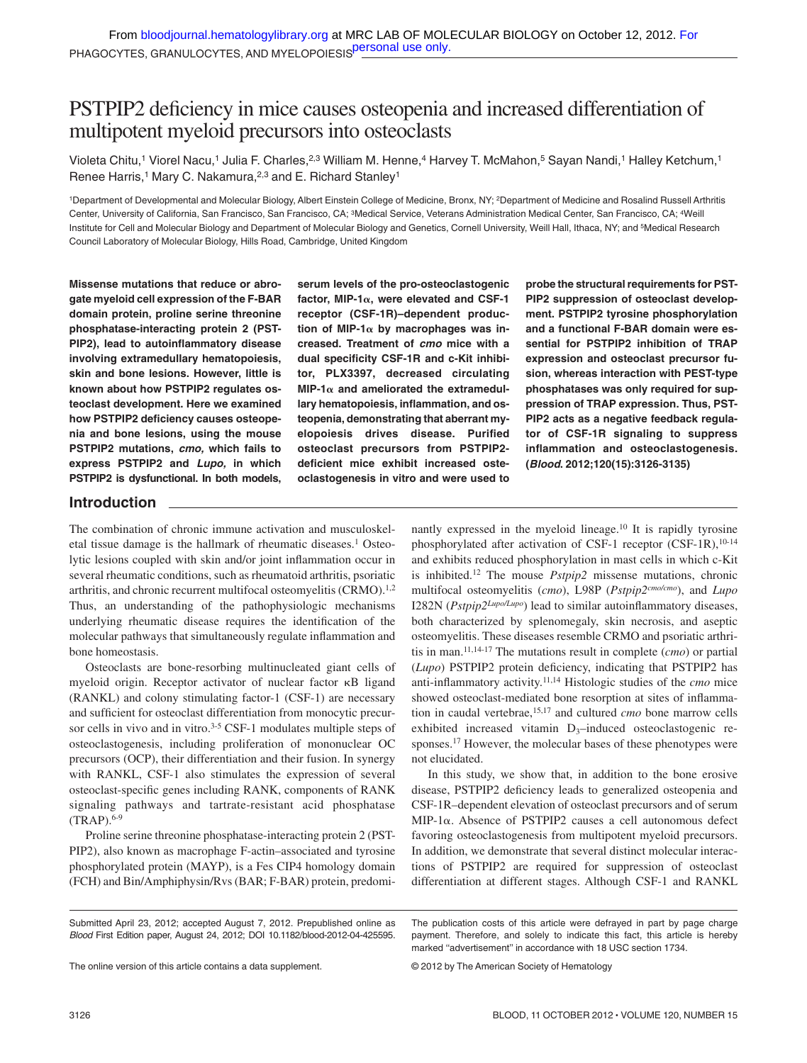# PSTPIP2 deficiency in mice causes osteopenia and increased differentiation of multipotent myeloid precursors into osteoclasts

Violeta Chitu,<sup>1</sup> Viorel Nacu,<sup>1</sup> Julia F. Charles,<sup>2,3</sup> William M. Henne,<sup>4</sup> Harvey T. McMahon,<sup>5</sup> Sayan Nandi,<sup>1</sup> Halley Ketchum,<sup>1</sup> Renee Harris,<sup>1</sup> Mary C. Nakamura,<sup>2,3</sup> and E. Richard Stanley<sup>1</sup>

<sup>1</sup>Department of Developmental and Molecular Biology, Albert Einstein College of Medicine, Bronx, NY; <sup>2</sup>Department of Medicine and Rosalind Russell Arthritis Center, University of California, San Francisco, San Francisco, CA; 3Medical Service, Veterans Administration Medical Center, San Francisco, CA; 4Weill Institute for Cell and Molecular Biology and Department of Molecular Biology and Genetics, Cornell University, Weill Hall, Ithaca, NY; and 5Medical Research Council Laboratory of Molecular Biology, Hills Road, Cambridge, United Kingdom

**Missense mutations that reduce or abrogate myeloid cell expression of the F-BAR domain protein, proline serine threonine phosphatase-interacting protein 2 (PST-PIP2), lead to autoinflammatory disease involving extramedullary hematopoiesis, skin and bone lesions. However, little is known about how PSTPIP2 regulates osteoclast development. Here we examined how PSTPIP2 deficiency causes osteopenia and bone lesions, using the mouse PSTPIP2 mutations,** *cmo,* **which fails to express PSTPIP2 and** *Lupo,* **in which PSTPIP2 is dysfunctional. In both models,**

**serum levels of the pro-osteoclastogenic factor, MIP-1, were elevated and CSF-1 receptor (CSF-1R)–dependent produc**tion of MIP-1 $\alpha$  by macrophages was in**creased. Treatment of** *cmo* **mice with a dual specificity CSF-1R and c-Kit inhibitor, PLX3397, decreased circulating**  $MIP-1\alpha$  and ameliorated the extramedul**lary hematopoiesis, inflammation, and osteopenia, demonstrating that aberrant myelopoiesis drives disease. Purified osteoclast precursors from PSTPIP2 deficient mice exhibit increased osteoclastogenesis in vitro and were used to**

**probe the structural requirements for PST-PIP2 suppression of osteoclast development. PSTPIP2 tyrosine phosphorylation and a functional F-BAR domain were essential for PSTPIP2 inhibition of TRAP expression and osteoclast precursor fusion, whereas interaction with PEST-type phosphatases was only required for suppression of TRAP expression. Thus, PST-PIP2 acts as a negative feedback regulator of CSF-1R signaling to suppress inflammation and osteoclastogenesis. (***Blood***. 2012;120(15):3126-3135)**

# **Introduction**

The combination of chronic immune activation and musculoskeletal tissue damage is the hallmark of rheumatic diseases.1 Osteolytic lesions coupled with skin and/or joint inflammation occur in several rheumatic conditions, such as rheumatoid arthritis, psoriatic arthritis, and chronic recurrent multifocal osteomyelitis (CRMO).<sup>1,2</sup> Thus, an understanding of the pathophysiologic mechanisms underlying rheumatic disease requires the identification of the molecular pathways that simultaneously regulate inflammation and bone homeostasis.

Osteoclasts are bone-resorbing multinucleated giant cells of myeloid origin. Receptor activator of nuclear factor  $\kappa$ B ligand (RANKL) and colony stimulating factor-1 (CSF-1) are necessary and sufficient for osteoclast differentiation from monocytic precursor cells in vivo and in vitro. $3-5$  CSF-1 modulates multiple steps of osteoclastogenesis, including proliferation of mononuclear OC precursors (OCP), their differentiation and their fusion. In synergy with RANKL, CSF-1 also stimulates the expression of several osteoclast-specific genes including RANK, components of RANK signaling pathways and tartrate-resistant acid phosphatase (TRAP).6-9

Proline serine threonine phosphatase-interacting protein 2 (PST-PIP2), also known as macrophage F-actin–associated and tyrosine phosphorylated protein (MAYP), is a Fes CIP4 homology domain (FCH) and Bin/Amphiphysin/Rvs (BAR; F-BAR) protein, predominantly expressed in the myeloid lineage.10 It is rapidly tyrosine phosphorylated after activation of CSF-1 receptor (CSF-1R),<sup>10-14</sup> and exhibits reduced phosphorylation in mast cells in which c-Kit is inhibited.12 The mouse *Pstpip2* missense mutations, chronic multifocal osteomyelitis (*cmo*), L98P (*Pstpip2cmo/cmo*), and *Lupo* I282N (*Pstpip2Lupo/Lupo*) lead to similar autoinflammatory diseases, both characterized by splenomegaly, skin necrosis, and aseptic osteomyelitis. These diseases resemble CRMO and psoriatic arthritis in man.11,14-17 The mutations result in complete (*cmo*) or partial (*Lupo*) PSTPIP2 protein deficiency, indicating that PSTPIP2 has anti-inflammatory activity.11,14 Histologic studies of the *cmo* mice showed osteoclast-mediated bone resorption at sites of inflammation in caudal vertebrae,15,17 and cultured *cmo* bone marrow cells exhibited increased vitamin  $D_3$ –induced osteoclastogenic responses.<sup>17</sup> However, the molecular bases of these phenotypes were not elucidated.

In this study, we show that, in addition to the bone erosive disease, PSTPIP2 deficiency leads to generalized osteopenia and CSF-1R–dependent elevation of osteoclast precursors and of serum MIP-1α. Absence of PSTPIP2 causes a cell autonomous defect favoring osteoclastogenesis from multipotent myeloid precursors. In addition, we demonstrate that several distinct molecular interactions of PSTPIP2 are required for suppression of osteoclast differentiation at different stages. Although CSF-1 and RANKL

The online version of this article contains a data supplement.

The publication costs of this article were defrayed in part by page charge payment. Therefore, and solely to indicate this fact, this article is hereby marked ''advertisement'' in accordance with 18 USC section 1734.

© 2012 by The American Society of Hematology

Submitted April 23, 2012; accepted August 7, 2012. Prepublished online as *Blood* First Edition paper, August 24, 2012; DOI 10.1182/blood-2012-04-425595.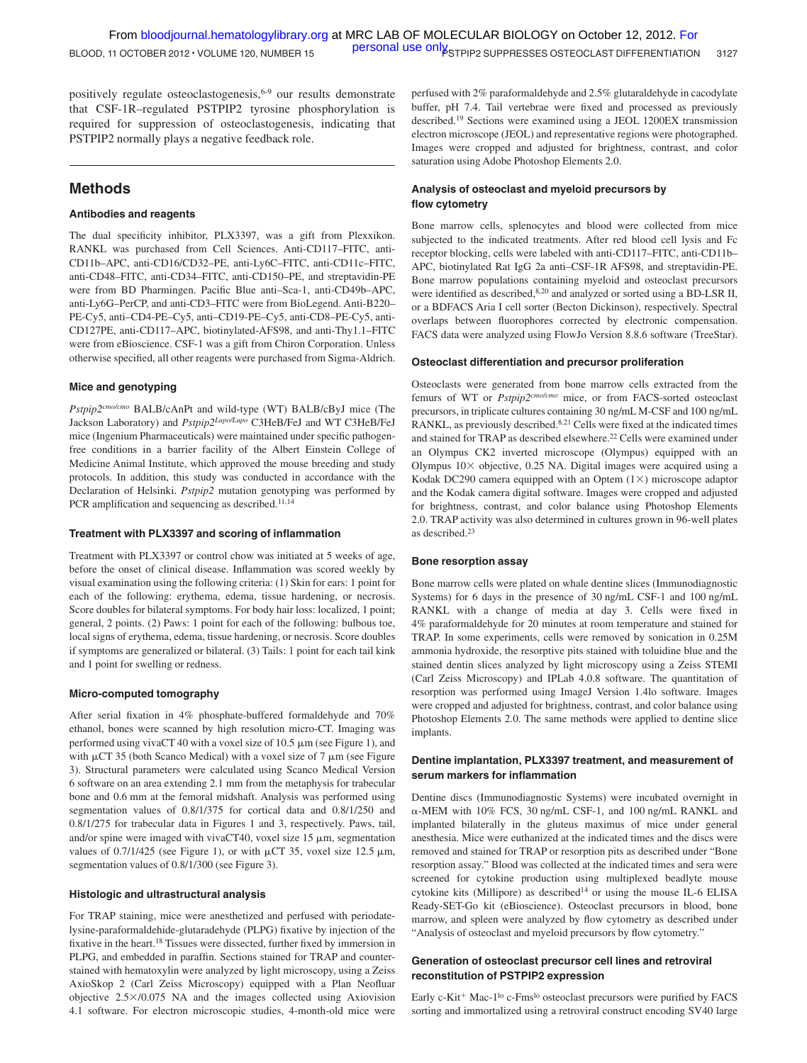positively regulate osteoclastogenesis, $6-9$  our results demonstrate that CSF-1R–regulated PSTPIP2 tyrosine phosphorylation is required for suppression of osteoclastogenesis, indicating that PSTPIP2 normally plays a negative feedback role.

# **Methods**

### **Antibodies and reagents**

The dual specificity inhibitor, PLX3397, was a gift from Plexxikon. RANKL was purchased from Cell Sciences. Anti-CD117–FITC, anti-CD11b–APC, anti-CD16/CD32–PE, anti-Ly6C–FITC, anti-CD11c–FITC, anti-CD48–FITC, anti-CD34–FITC, anti-CD150–PE, and streptavidin-PE were from BD Pharmingen. Pacific Blue anti–Sca-1, anti-CD49b–APC, anti-Ly6G–PerCP, and anti-CD3–FITC were from BioLegend. Anti-B220– PE-Cy5, anti–CD4-PE–Cy5, anti–CD19-PE–Cy5, anti-CD8–PE-Cy5, anti-CD127PE, anti-CD117–APC, biotinylated-AFS98, and anti-Thy1.1–FITC were from eBioscience. CSF-1 was a gift from Chiron Corporation. Unless otherwise specified, all other reagents were purchased from Sigma-Aldrich.

## **Mice and genotyping**

*Pstpip2cmo/cmo* BALB/cAnPt and wild-type (WT) BALB/cByJ mice (The Jackson Laboratory) and *Pstpip2Lupo/Lupo* C3HeB/FeJ and WT C3HeB/FeJ mice (Ingenium Pharmaceuticals) were maintained under specific pathogenfree conditions in a barrier facility of the Albert Einstein College of Medicine Animal Institute, which approved the mouse breeding and study protocols. In addition, this study was conducted in accordance with the Declaration of Helsinki. *Pstpip2* mutation genotyping was performed by PCR amplification and sequencing as described.<sup>11,14</sup>

### **Treatment with PLX3397 and scoring of inflammation**

Treatment with PLX3397 or control chow was initiated at 5 weeks of age, before the onset of clinical disease. Inflammation was scored weekly by visual examination using the following criteria: (1) Skin for ears: 1 point for each of the following: erythema, edema, tissue hardening, or necrosis. Score doubles for bilateral symptoms. For body hair loss: localized, 1 point; general, 2 points. (2) Paws: 1 point for each of the following: bulbous toe, local signs of erythema, edema, tissue hardening, or necrosis. Score doubles if symptoms are generalized or bilateral. (3) Tails: 1 point for each tail kink and 1 point for swelling or redness.

## **Micro-computed tomography**

After serial fixation in 4% phosphate-buffered formaldehyde and 70% ethanol, bones were scanned by high resolution micro-CT. Imaging was performed using vivaCT 40 with a voxel size of 10.5  $\mu$ m (see Figure 1), and with  $\mu$ CT 35 (both Scanco Medical) with a voxel size of 7  $\mu$ m (see Figure 3). Structural parameters were calculated using Scanco Medical Version 6 software on an area extending 2.1 mm from the metaphysis for trabecular bone and 0.6 mm at the femoral midshaft. Analysis was performed using segmentation values of 0.8/1/375 for cortical data and 0.8/1/250 and 0.8/1/275 for trabecular data in Figures 1 and 3, respectively. Paws, tail, and/or spine were imaged with vivaCT40, voxel size 15  $\mu$ m, segmentation values of 0.7/1/425 (see Figure 1), or with  $\mu$ CT 35, voxel size 12.5  $\mu$ m, segmentation values of 0.8/1/300 (see Figure 3).

## **Histologic and ultrastructural analysis**

For TRAP staining, mice were anesthetized and perfused with periodatelysine-paraformaldehide-glutaradehyde (PLPG) fixative by injection of the fixative in the heart.18 Tissues were dissected, further fixed by immersion in PLPG, and embedded in paraffin. Sections stained for TRAP and counterstained with hematoxylin were analyzed by light microscopy, using a Zeiss AxioSkop 2 (Carl Zeiss Microscopy) equipped with a Plan Neofluar objective  $2.5 \times 0.075$  NA and the images collected using Axiovision 4.1 software. For electron microscopic studies, 4-month-old mice were

perfused with 2% paraformaldehyde and 2.5% glutaraldehyde in cacodylate buffer, pH 7.4. Tail vertebrae were fixed and processed as previously described.19 Sections were examined using a JEOL 1200EX transmission electron microscope (JEOL) and representative regions were photographed. Images were cropped and adjusted for brightness, contrast, and color saturation using Adobe Photoshop Elements 2.0.

# **Analysis of osteoclast and myeloid precursors by flow cytometry**

Bone marrow cells, splenocytes and blood were collected from mice subjected to the indicated treatments. After red blood cell lysis and Fc receptor blocking, cells were labeled with anti-CD117–FITC, anti-CD11b– APC, biotinylated Rat IgG 2a anti–CSF-1R AFS98, and streptavidin-PE. Bone marrow populations containing myeloid and osteoclast precursors were identified as described, 8,20 and analyzed or sorted using a BD-LSR II, or a BDFACS Aria I cell sorter (Becton Dickinson), respectively. Spectral overlaps between fluorophores corrected by electronic compensation. FACS data were analyzed using FlowJo Version 8.8.6 software (TreeStar).

#### **Osteoclast differentiation and precursor proliferation**

Osteoclasts were generated from bone marrow cells extracted from the femurs of WT or *Pstpip2cmo/cmo* mice, or from FACS-sorted osteoclast precursors, in triplicate cultures containing 30 ng/mL M-CSF and 100 ng/mL RANKL, as previously described.<sup>8,21</sup> Cells were fixed at the indicated times and stained for TRAP as described elsewhere.<sup>22</sup> Cells were examined under an Olympus CK2 inverted microscope (Olympus) equipped with an Olympus  $10\times$  objective, 0.25 NA. Digital images were acquired using a Kodak DC290 camera equipped with an Optem  $(1\times)$  microscope adaptor and the Kodak camera digital software. Images were cropped and adjusted for brightness, contrast, and color balance using Photoshop Elements 2.0. TRAP activity was also determined in cultures grown in 96-well plates as described.23

#### **Bone resorption assay**

Bone marrow cells were plated on whale dentine slices (Immunodiagnostic Systems) for 6 days in the presence of 30 ng/mL CSF-1 and 100 ng/mL RANKL with a change of media at day 3. Cells were fixed in 4% paraformaldehyde for 20 minutes at room temperature and stained for TRAP. In some experiments, cells were removed by sonication in 0.25M ammonia hydroxide, the resorptive pits stained with toluidine blue and the stained dentin slices analyzed by light microscopy using a Zeiss STEMI (Carl Zeiss Microscopy) and IPLab 4.0.8 software. The quantitation of resorption was performed using ImageJ Version 1.4lo software. Images were cropped and adjusted for brightness, contrast, and color balance using Photoshop Elements 2.0. The same methods were applied to dentine slice implants.

### **Dentine implantation, PLX3397 treatment, and measurement of serum markers for inflammation**

Dentine discs (Immunodiagnostic Systems) were incubated overnight in --MEM with 10% FCS, 30 ng/mL CSF-1, and 100 ng/mL RANKL and implanted bilaterally in the gluteus maximus of mice under general anesthesia. Mice were euthanized at the indicated times and the discs were removed and stained for TRAP or resorption pits as described under "Bone resorption assay." Blood was collected at the indicated times and sera were screened for cytokine production using multiplexed beadlyte mouse cytokine kits (Millipore) as described<sup>14</sup> or using the mouse IL-6 ELISA Ready-SET-Go kit (eBioscience). Osteoclast precursors in blood, bone marrow, and spleen were analyzed by flow cytometry as described under "Analysis of osteoclast and myeloid precursors by flow cytometry."

# **Generation of osteoclast precursor cell lines and retroviral reconstitution of PSTPIP2 expression**

Early c-Kit<sup>+</sup> Mac-1<sup>lo</sup> c-Fms<sup>lo</sup> osteoclast precursors were purified by FACS sorting and immortalized using a retroviral construct encoding SV40 large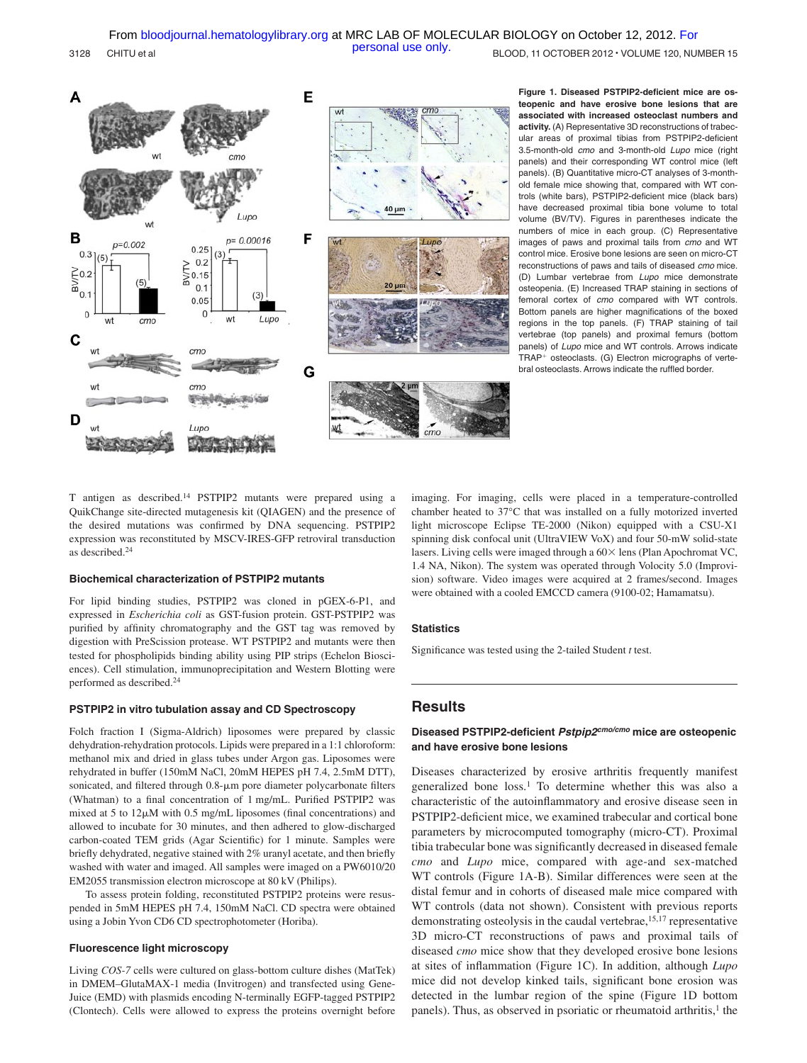3128 CHITU et al **BLOOD, 11 OCTOBER 2012 VOLUME 120, NUMBER 15** [personal use only.](http://bloodjournal.hematologylibrary.org/subscriptions/ToS.dtl)



**Figure 1. Diseased PSTPIP2-deficient mice are osteopenic and have erosive bone lesions that are associated with increased osteoclast numbers and activity.** (A) Representative 3D reconstructions of trabecular areas of proximal tibias from PSTPIP2-deficient 3.5-month-old *cmo* and 3-month-old *Lupo* mice (right panels) and their corresponding WT control mice (left panels). (B) Quantitative micro-CT analyses of 3-monthold female mice showing that, compared with WT controls (white bars), PSTPIP2-deficient mice (black bars) have decreased proximal tibia bone volume to total volume (BV/TV). Figures in parentheses indicate the numbers of mice in each group. (C) Representative images of paws and proximal tails from *cmo* and WT control mice. Erosive bone lesions are seen on micro-CT reconstructions of paws and tails of diseased *cmo* mice. (D) Lumbar vertebrae from *Lupo* mice demonstrate osteopenia. (E) Increased TRAP staining in sections of femoral cortex of *cmo* compared with WT controls. Bottom panels are higher magnifications of the boxed regions in the top panels. (F) TRAP staining of tail vertebrae (top panels) and proximal femurs (bottom panels) of *Lupo* mice and WT controls. Arrows indicate  $TRAP<sup>+</sup>$  osteoclasts. (G) Electron micrographs of vertebral osteoclasts. Arrows indicate the ruffled border.

T antigen as described.14 PSTPIP2 mutants were prepared using a QuikChange site-directed mutagenesis kit (QIAGEN) and the presence of the desired mutations was confirmed by DNA sequencing. PSTPIP2 expression was reconstituted by MSCV-IRES-GFP retroviral transduction as described.24

#### **Biochemical characterization of PSTPIP2 mutants**

For lipid binding studies, PSTPIP2 was cloned in pGEX-6-P1, and expressed in *Escherichia coli* as GST-fusion protein. GST-PSTPIP2 was purified by affinity chromatography and the GST tag was removed by digestion with PreScission protease. WT PSTPIP2 and mutants were then tested for phospholipids binding ability using PIP strips (Echelon Biosciences). Cell stimulation, immunoprecipitation and Western Blotting were performed as described.24

#### **PSTPIP2 in vitro tubulation assay and CD Spectroscopy**

Folch fraction I (Sigma-Aldrich) liposomes were prepared by classic dehydration-rehydration protocols. Lipids were prepared in a 1:1 chloroform: methanol mix and dried in glass tubes under Argon gas. Liposomes were rehydrated in buffer (150mM NaCl, 20mM HEPES pH 7.4, 2.5mM DTT), sonicated, and filtered through 0.8- $\mu$ m pore diameter polycarbonate filters (Whatman) to a final concentration of 1 mg/mL. Purified PSTPIP2 was mixed at 5 to  $12\mu$ M with 0.5 mg/mL liposomes (final concentrations) and allowed to incubate for 30 minutes, and then adhered to glow-discharged carbon-coated TEM grids (Agar Scientific) for 1 minute. Samples were briefly dehydrated, negative stained with 2% uranyl acetate, and then briefly washed with water and imaged. All samples were imaged on a PW6010/20 EM2055 transmission electron microscope at 80 kV (Philips).

To assess protein folding, reconstituted PSTPIP2 proteins were resuspended in 5mM HEPES pH 7.4, 150mM NaCl. CD spectra were obtained using a Jobin Yvon CD6 CD spectrophotometer (Horiba).

### **Fluorescence light microscopy**

Living *COS-7* cells were cultured on glass-bottom culture dishes (MatTek) in DMEM–GlutaMAX-1 media (Invitrogen) and transfected using Gene-Juice (EMD) with plasmids encoding N-terminally EGFP-tagged PSTPIP2 (Clontech). Cells were allowed to express the proteins overnight before imaging. For imaging, cells were placed in a temperature-controlled chamber heated to 37°C that was installed on a fully motorized inverted light microscope Eclipse TE-2000 (Nikon) equipped with a CSU-X1 spinning disk confocal unit (UltraVIEW VoX) and four 50-mW solid-state lasers. Living cells were imaged through a  $60\times$  lens (Plan Apochromat VC, 1.4 NA, Nikon). The system was operated through Volocity 5.0 (Improvision) software. Video images were acquired at 2 frames/second. Images were obtained with a cooled EMCCD camera (9100-02; Hamamatsu).

#### **Statistics**

Significance was tested using the 2-tailed Student *t* test.

## **Results**

### **Diseased PSTPIP2-deficient** *Pstpip2cmo/cmo* **mice are osteopenic and have erosive bone lesions**

Diseases characterized by erosive arthritis frequently manifest generalized bone loss.1 To determine whether this was also a characteristic of the autoinflammatory and erosive disease seen in PSTPIP2-deficient mice, we examined trabecular and cortical bone parameters by microcomputed tomography (micro-CT). Proximal tibia trabecular bone was significantly decreased in diseased female *cmo* and *Lupo* mice, compared with age-and sex-matched WT controls (Figure 1A-B). Similar differences were seen at the distal femur and in cohorts of diseased male mice compared with WT controls (data not shown). Consistent with previous reports demonstrating osteolysis in the caudal vertebrae, <sup>15,17</sup> representative 3D micro-CT reconstructions of paws and proximal tails of diseased *cmo* mice show that they developed erosive bone lesions at sites of inflammation (Figure 1C). In addition, although *Lupo* mice did not develop kinked tails, significant bone erosion was detected in the lumbar region of the spine (Figure 1D bottom panels). Thus, as observed in psoriatic or rheumatoid arthritis,<sup>1</sup> the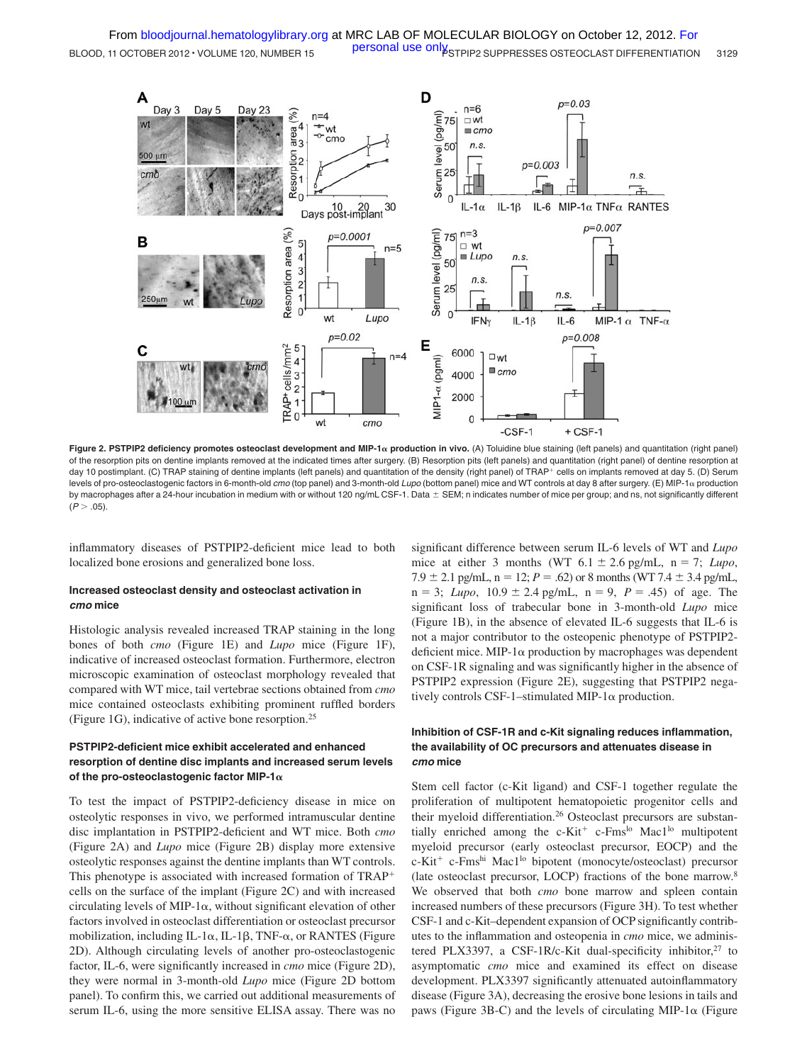

Figure 2. PSTPIP2 deficiency promotes osteoclast development and MIP-1<sub>x</sub> production in vivo. (A) Toluidine blue staining (left panels) and quantitation (right panel) of the resorption pits on dentine implants removed at the indicated times after surgery. (B) Resorption pits (left panels) and quantitation (right panel) of dentine resorption at day 10 postimplant. (C) TRAP staining of dentine implants (left panels) and quantitation of the density (right panel) of TRAP+ cells on implants removed at day 5. (D) Serum levels of pro-osteoclastogenic factors in 6-month-old *cmo* (top panel) and 3-month-old *Lupo* (bottom panel) mice and WT controls at day 8 after surgery. (E) MIP-1α production by macrophages after a 24-hour incubation in medium with or without 120 ng/mL CSF-1. Data  $\pm$  SEM; n indicates number of mice per group; and ns, not significantly different  $(P > .05)$ .

inflammatory diseases of PSTPIP2-deficient mice lead to both localized bone erosions and generalized bone loss.

### **Increased osteoclast density and osteoclast activation in** *cmo* **mice**

Histologic analysis revealed increased TRAP staining in the long bones of both *cmo* (Figure 1E) and *Lupo* mice (Figure 1F), indicative of increased osteoclast formation. Furthermore, electron microscopic examination of osteoclast morphology revealed that compared with WT mice, tail vertebrae sections obtained from *cmo* mice contained osteoclasts exhibiting prominent ruffled borders (Figure 1G), indicative of active bone resorption.25

# **PSTPIP2-deficient mice exhibit accelerated and enhanced resorption of dentine disc implants and increased serum levels of the pro-osteoclastogenic factor MIP-1**

To test the impact of PSTPIP2-deficiency disease in mice on osteolytic responses in vivo, we performed intramuscular dentine disc implantation in PSTPIP2-deficient and WT mice. Both *cmo* (Figure 2A) and *Lupo* mice (Figure 2B) display more extensive osteolytic responses against the dentine implants than WT controls. This phenotype is associated with increased formation of TRAP cells on the surface of the implant (Figure 2C) and with increased circulating levels of MIP-1 $\alpha$ , without significant elevation of other factors involved in osteoclast differentiation or osteoclast precursor mobilization, including IL-1 $\alpha$ , IL-1 $\beta$ , TNF- $\alpha$ , or RANTES (Figure 2D). Although circulating levels of another pro-osteoclastogenic factor, IL-6, were significantly increased in *cmo* mice (Figure 2D), they were normal in 3-month-old *Lupo* mice (Figure 2D bottom panel). To confirm this, we carried out additional measurements of serum IL-6, using the more sensitive ELISA assay. There was no

significant difference between serum IL-6 levels of WT and *Lupo* mice at either 3 months (WT  $6.1 \pm 2.6$  pg/mL,  $n = 7$ ; *Lupo*,  $7.9 \pm 2.1$  pg/mL,  $n = 12$ ;  $P = .62$ ) or 8 months (WT 7.4  $\pm$  3.4 pg/mL,  $n = 3$ ; *Lupo*,  $10.9 \pm 2.4$  pg/mL,  $n = 9$ ,  $P = .45$ ) of age. The significant loss of trabecular bone in 3-month-old *Lupo* mice (Figure 1B), in the absence of elevated IL-6 suggests that IL-6 is not a major contributor to the osteopenic phenotype of PSTPIP2 deficient mice. MIP-1 $\alpha$  production by macrophages was dependent on CSF-1R signaling and was significantly higher in the absence of PSTPIP2 expression (Figure 2E), suggesting that PSTPIP2 negatively controls CSF-1-stimulated MIP-1 $\alpha$  production.

## **Inhibition of CSF-1R and c-Kit signaling reduces inflammation, the availability of OC precursors and attenuates disease in** *cmo* **mice**

Stem cell factor (c-Kit ligand) and CSF-1 together regulate the proliferation of multipotent hematopoietic progenitor cells and their myeloid differentiation.<sup>26</sup> Osteoclast precursors are substantially enriched among the c-Kit<sup>+</sup> c-Fms<sup>lo</sup> Mac1<sup>lo</sup> multipotent myeloid precursor (early osteoclast precursor, EOCP) and the c-Kit<sup>+</sup> c-Fms<sup>hi</sup> Mac1<sup>lo</sup> bipotent (monocyte/osteoclast) precursor (late osteoclast precursor, LOCP) fractions of the bone marrow.8 We observed that both *cmo* bone marrow and spleen contain increased numbers of these precursors (Figure 3H). To test whether CSF-1 and c-Kit–dependent expansion of OCP significantly contributes to the inflammation and osteopenia in *cmo* mice, we administered PLX3397, a CSF-1R/c-Kit dual-specificity inhibitor,<sup>27</sup> to asymptomatic *cmo* mice and examined its effect on disease development. PLX3397 significantly attenuated autoinflammatory disease (Figure 3A), decreasing the erosive bone lesions in tails and paws (Figure 3B-C) and the levels of circulating MIP-1 $\alpha$  (Figure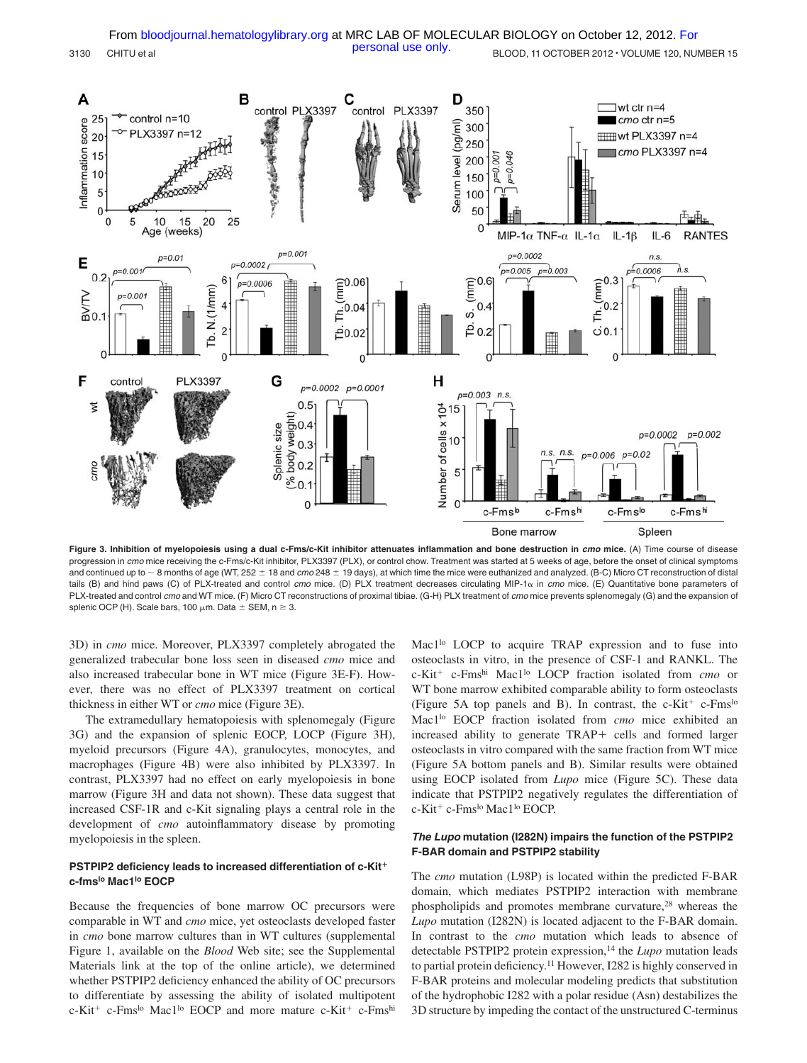

**Figure 3. Inhibition of myelopoiesis using a dual c-Fms/c-Kit inhibitor attenuates inflammation and bone destruction in** *cmo* **mice.** (A) Time course of disease progression in *cmo* mice receiving the c-Fms/c-Kit inhibitor, PLX3397 (PLX), or control chow. Treatment was started at 5 weeks of age, before the onset of clinical symptoms and continued up to ~ 8 months of age (WT, 252  $\pm$  18 and *cmo* 248  $\pm$  19 days), at which time the mice were euthanized and analyzed. (B-C) Micro CT reconstruction of distal tails (B) and hind paws (C) of PLX-treated and control *cmo* mice. (D) PLX treatment decreases circulating MIP-1α in *cmo* mice. (E) Quantitative bone parameters of PLX-treated and control *cmo* and WT mice. (F) Micro CT reconstructions of proximal tibiae. (G-H) PLX treatment of *cmo* mice prevents splenomegaly (G) and the expansion of splenic OCP (H). Scale bars, 100  $\mu$ m. Data  $\pm$  SEM, n  $\geq$  3.

3D) in *cmo* mice. Moreover, PLX3397 completely abrogated the generalized trabecular bone loss seen in diseased *cmo* mice and also increased trabecular bone in WT mice (Figure 3E-F). However, there was no effect of PLX3397 treatment on cortical thickness in either WT or *cmo* mice (Figure 3E).

The extramedullary hematopoiesis with splenomegaly (Figure 3G) and the expansion of splenic EOCP, LOCP (Figure 3H), myeloid precursors (Figure 4A), granulocytes, monocytes, and macrophages (Figure 4B) were also inhibited by PLX3397. In contrast, PLX3397 had no effect on early myelopoiesis in bone marrow (Figure 3H and data not shown). These data suggest that increased CSF-1R and c-Kit signaling plays a central role in the development of *cmo* autoinflammatory disease by promoting myelopoiesis in the spleen.

#### **PSTPIP2 deficiency leads to increased differentiation of c-Kit c-fmslo Mac1lo EOCP**

Because the frequencies of bone marrow OC precursors were comparable in WT and *cmo* mice, yet osteoclasts developed faster in *cmo* bone marrow cultures than in WT cultures (supplemental Figure 1, available on the *Blood* Web site; see the Supplemental Materials link at the top of the online article), we determined whether PSTPIP2 deficiency enhanced the ability of OC precursors to differentiate by assessing the ability of isolated multipotent  $c-Kit^+$  c-Fms<sup>lo</sup> Mac1<sup>lo</sup> EOCP and more mature  $c-Kit^+$  c-Fms<sup>hi</sup>

Mac1<sup>lo</sup> LOCP to acquire TRAP expression and to fuse into osteoclasts in vitro, in the presence of CSF-1 and RANKL. The c-Kit c-Fmshi Mac1lo LOCP fraction isolated from *cmo* or WT bone marrow exhibited comparable ability to form osteoclasts (Figure 5A top panels and B). In contrast, the  $c-Kit^+$  c-Fms<sup>lo</sup> Mac1lo EOCP fraction isolated from *cmo* mice exhibited an increased ability to generate TRAP+ cells and formed larger osteoclasts in vitro compared with the same fraction from WT mice (Figure 5A bottom panels and B). Similar results were obtained using EOCP isolated from *Lupo* mice (Figure 5C). These data indicate that PSTPIP2 negatively regulates the differentiation of c-Kit<sup>+</sup> c-Fms<sup>lo</sup> Mac1<sup>lo</sup> EOCP.

# *The Lupo* **mutation (I282N) impairs the function of the PSTPIP2 F-BAR domain and PSTPIP2 stability**

The *cmo* mutation (L98P) is located within the predicted F-BAR domain, which mediates PSTPIP2 interaction with membrane phospholipids and promotes membrane curvature,<sup>28</sup> whereas the *Lupo* mutation (I282N) is located adjacent to the F-BAR domain. In contrast to the *cmo* mutation which leads to absence of detectable PSTPIP2 protein expression,<sup>14</sup> the *Lupo* mutation leads to partial protein deficiency.11 However, I282 is highly conserved in F-BAR proteins and molecular modeling predicts that substitution of the hydrophobic I282 with a polar residue (Asn) destabilizes the 3D structure by impeding the contact of the unstructured C-terminus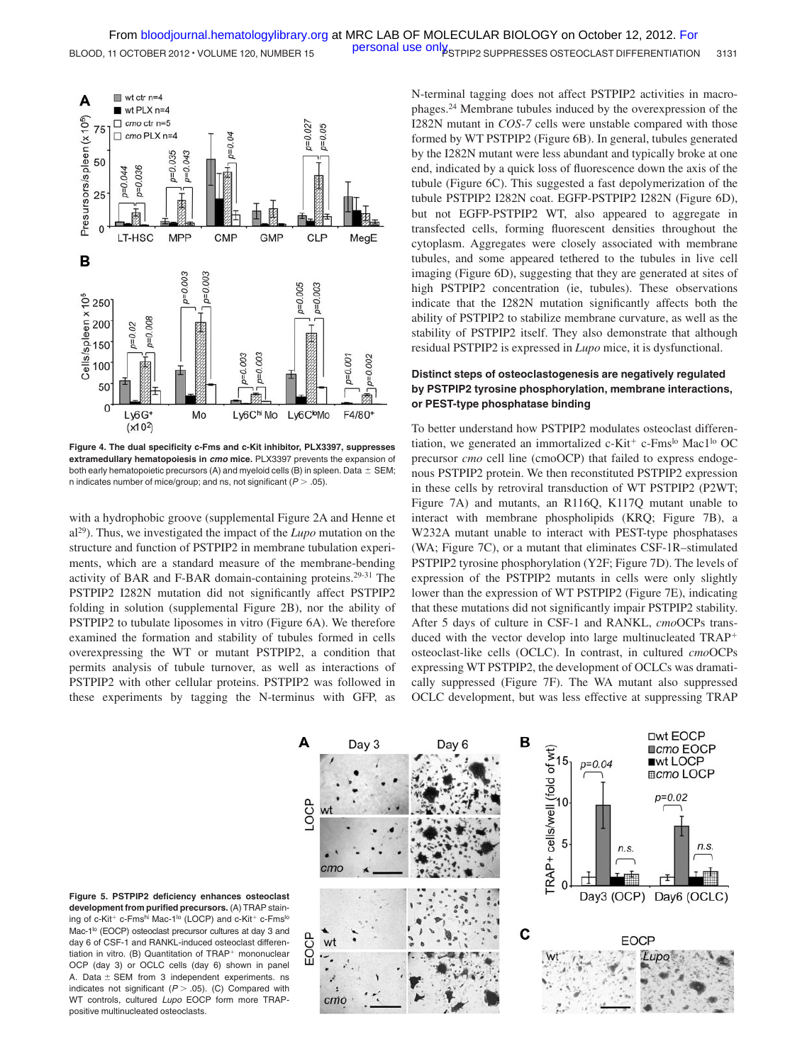

**Figure 4. The dual specificity c-Fms and c-Kit inhibitor, PLX3397, suppresses extramedullary hematopoiesis in** *cmo* **mice.** PLX3397 prevents the expansion of both early hematopoietic precursors (A) and myeloid cells (B) in spleen. Data  $\pm$  SEM; n indicates number of mice/group; and ns, not significant  $(P > .05)$ .

with a hydrophobic groove (supplemental Figure 2A and Henne et al29). Thus, we investigated the impact of the *Lupo* mutation on the structure and function of PSTPIP2 in membrane tubulation experiments, which are a standard measure of the membrane-bending activity of BAR and F-BAR domain-containing proteins.29-31 The PSTPIP2 I282N mutation did not significantly affect PSTPIP2 folding in solution (supplemental Figure 2B), nor the ability of PSTPIP2 to tubulate liposomes in vitro (Figure 6A). We therefore examined the formation and stability of tubules formed in cells overexpressing the WT or mutant PSTPIP2, a condition that permits analysis of tubule turnover, as well as interactions of PSTPIP2 with other cellular proteins. PSTPIP2 was followed in these experiments by tagging the N-terminus with GFP, as

N-terminal tagging does not affect PSTPIP2 activities in macrophages.24 Membrane tubules induced by the overexpression of the I282N mutant in *COS-7* cells were unstable compared with those formed by WT PSTPIP2 (Figure 6B). In general, tubules generated by the I282N mutant were less abundant and typically broke at one end, indicated by a quick loss of fluorescence down the axis of the tubule (Figure 6C). This suggested a fast depolymerization of the tubule PSTPIP2 I282N coat. EGFP-PSTPIP2 I282N (Figure 6D), but not EGFP-PSTPIP2 WT, also appeared to aggregate in transfected cells, forming fluorescent densities throughout the cytoplasm. Aggregates were closely associated with membrane tubules, and some appeared tethered to the tubules in live cell imaging (Figure 6D), suggesting that they are generated at sites of high PSTPIP2 concentration (ie, tubules). These observations indicate that the I282N mutation significantly affects both the ability of PSTPIP2 to stabilize membrane curvature, as well as the stability of PSTPIP2 itself. They also demonstrate that although residual PSTPIP2 is expressed in *Lupo* mice, it is dysfunctional.

# **Distinct steps of osteoclastogenesis are negatively regulated by PSTPIP2 tyrosine phosphorylation, membrane interactions, or PEST-type phosphatase binding**

To better understand how PSTPIP2 modulates osteoclast differentiation, we generated an immortalized  $c$ -Kit<sup>+</sup>  $c$ -Fms<sup>lo</sup> Mac1<sup>lo</sup> OC precursor *cmo* cell line (cmoOCP) that failed to express endogenous PSTPIP2 protein. We then reconstituted PSTPIP2 expression in these cells by retroviral transduction of WT PSTPIP2 (P2WT; Figure 7A) and mutants, an R116Q, K117Q mutant unable to interact with membrane phospholipids (KRQ; Figure 7B), a W232A mutant unable to interact with PEST-type phosphatases (WA; Figure 7C), or a mutant that eliminates CSF-1R–stimulated PSTPIP2 tyrosine phosphorylation (Y2F; Figure 7D). The levels of expression of the PSTPIP2 mutants in cells were only slightly lower than the expression of WT PSTPIP2 (Figure 7E), indicating that these mutations did not significantly impair PSTPIP2 stability. After 5 days of culture in CSF-1 and RANKL, *cmo*OCPs transduced with the vector develop into large multinucleated TRAP osteoclast-like cells (OCLC). In contrast, in cultured *cmo*OCPs expressing WT PSTPIP2, the development of OCLCs was dramatically suppressed (Figure 7F). The WA mutant also suppressed OCLC development, but was less effective at suppressing TRAP



**Figure 5. PSTPIP2 deficiency enhances osteoclast development from purified precursors.** (A) TRAP staining of c-Kit<sup>+</sup> c-Fms<sup>hi</sup> Mac-1<sup>lo</sup> (LOCP) and c-Kit<sup>+</sup> c-Fms<sup>lo</sup> Mac-1<sup>lo</sup> (EOCP) osteoclast precursor cultures at day 3 and day 6 of CSF-1 and RANKL-induced osteoclast differentiation in vitro. (B) Quantitation of  $TRAP<sup>+</sup>$  mononuclear OCP (day 3) or OCLC cells (day 6) shown in panel A. Data  $\pm$  SEM from 3 independent experiments. ns indicates not significant  $(P > .05)$ . (C) Compared with WT controls, cultured *Lupo* EOCP form more TRAPpositive multinucleated osteoclasts.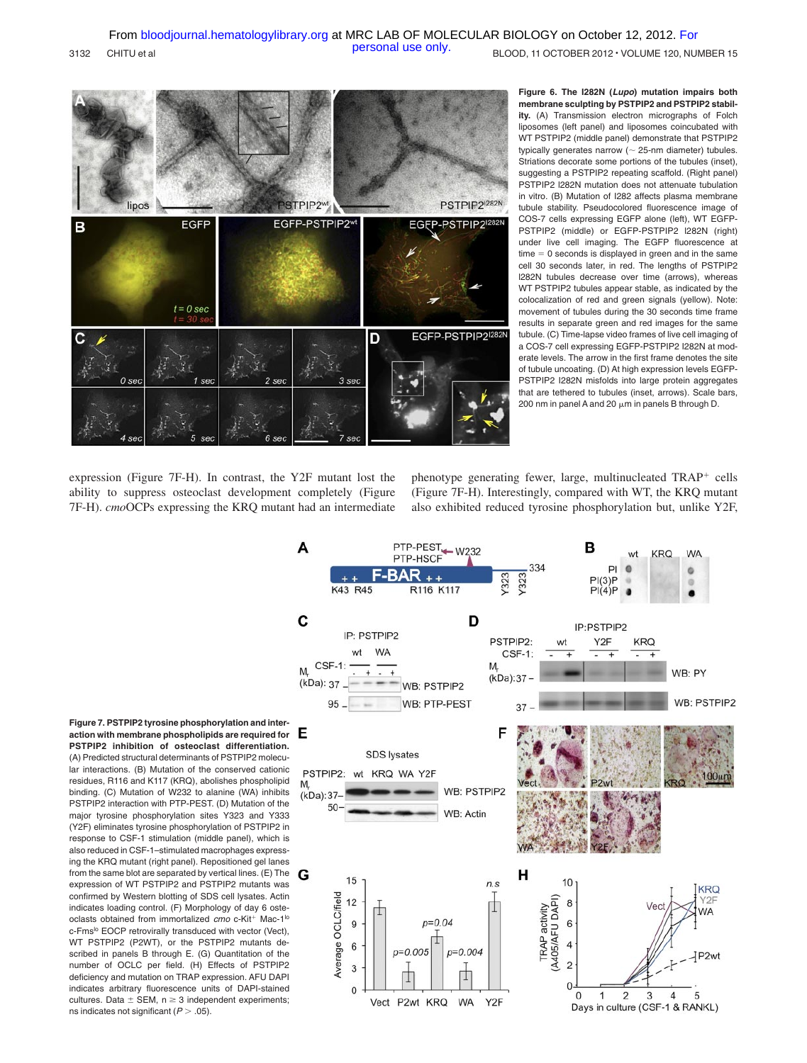

**Figure 6. The I282N (***Lupo***) mutation impairs both membrane sculpting by PSTPIP2 and PSTPIP2 stability.** (A) Transmission electron micrographs of Folch liposomes (left panel) and liposomes coincubated with WT PSTPIP2 (middle panel) demonstrate that PSTPIP2 typically generates narrow ( 25-nm diameter) tubules. Striations decorate some portions of the tubules (inset), suggesting a PSTPIP2 repeating scaffold. (Right panel) PSTPIP2 l282N mutation does not attenuate tubulation in vitro. (B) Mutation of I282 affects plasma membrane tubule stability. Pseudocolored fluorescence image of COS-7 cells expressing EGFP alone (left), WT EGFP-PSTPIP2 (middle) or EGFP-PSTPIP2 l282N (right) under live cell imaging. The EGFP fluorescence at  $time = 0$  seconds is displayed in green and in the same cell 30 seconds later, in red. The lengths of PSTPIP2 l282N tubules decrease over time (arrows), whereas WT PSTPIP2 tubules appear stable, as indicated by the colocalization of red and green signals (yellow). Note: movement of tubules during the 30 seconds time frame results in separate green and red images for the same tubule. (C) Time-lapse video frames of live cell imaging of a COS-7 cell expressing EGFP-PSTPIP2 I282N at moderate levels. The arrow in the first frame denotes the site of tubule uncoating. (D) At high expression levels EGFP-PSTPIP2 I282N misfolds into large protein aggregates that are tethered to tubules (inset, arrows). Scale bars, 200 nm in panel A and 20  $\mu$ m in panels B through D.

expression (Figure 7F-H). In contrast, the Y2F mutant lost the ability to suppress osteoclast development completely (Figure 7F-H). *cmo*OCPs expressing the KRQ mutant had an intermediate phenotype generating fewer, large, multinucleated TRAP<sup>+</sup> cells (Figure 7F-H). Interestingly, compared with WT, the KRQ mutant also exhibited reduced tyrosine phosphorylation but, unlike Y2F,



**Figure 7. PSTPIP2 tyrosine phosphorylation and interaction with membrane phospholipids are required for PSTPIP2 inhibition of osteoclast differentiation.** (A) Predicted structural determinants of PSTPIP2 molecular interactions. (B) Mutation of the conserved cationic residues, R116 and K117 (KRQ), abolishes phospholipid binding. (C) Mutation of W232 to alanine (WA) inhibits PSTPIP2 interaction with PTP-PEST. (D) Mutation of the major tyrosine phosphorylation sites Y323 and Y333 (Y2F) eliminates tyrosine phosphorylation of PSTPIP2 in response to CSF-1 stimulation (middle panel), which is also reduced in CSF-1–stimulated macrophages expressing the KRQ mutant (right panel). Repositioned gel lanes from the same blot are separated by vertical lines. (E) The expression of WT PSTPIP2 and PSTPIP2 mutants was confirmed by Western blotting of SDS cell lysates. Actin indicates loading control. (F) Morphology of day 6 osteoclasts obtained from immortalized cmo c-Kit<sup>+</sup> Mac-1<sup>lo</sup> c-Fms<sup>lo</sup> EOCP retrovirally transduced with vector (Vect), WT PSTPIP2 (P2WT), or the PSTPIP2 mutants described in panels B through E. (G) Quantitation of the number of OCLC per field. (H) Effects of PSTPIP2 deficiency and mutation on TRAP expression. AFU DAPI indicates arbitrary fluorescence units of DAPI-stained cultures. Data  $\pm$  SEM, n  $\geq$  3 independent experiments; ns indicates not significant  $(P > .05)$ .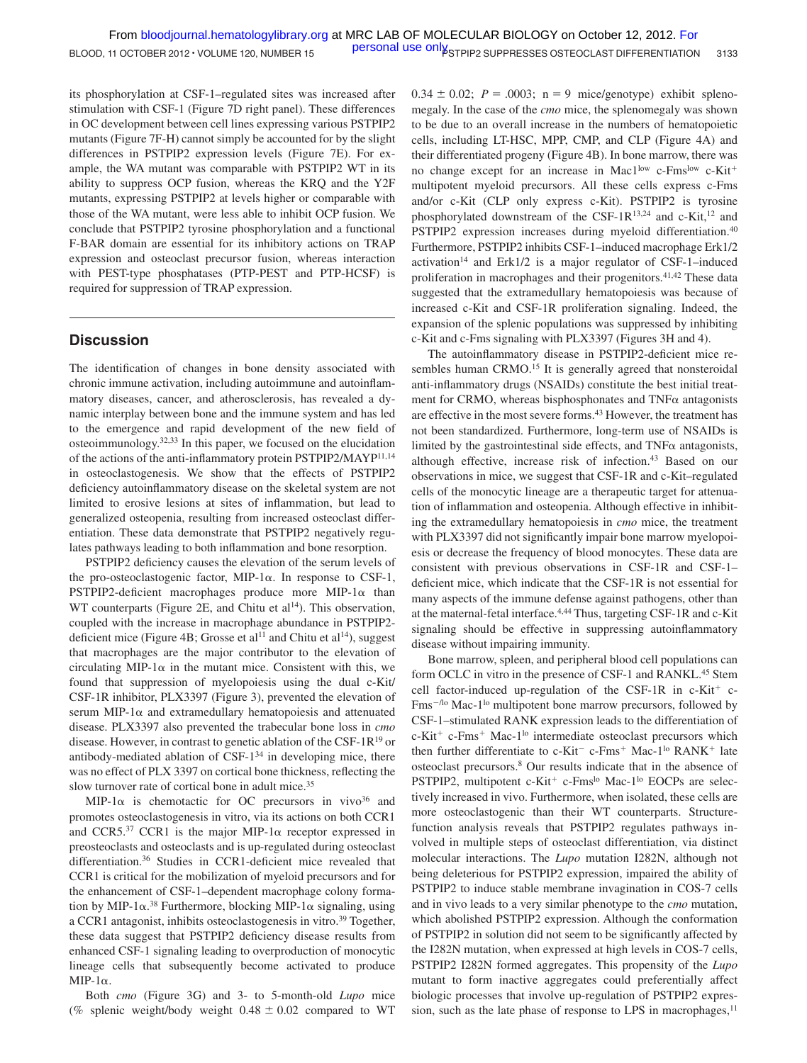its phosphorylation at CSF-1–regulated sites was increased after stimulation with CSF-1 (Figure 7D right panel). These differences in OC development between cell lines expressing various PSTPIP2 mutants (Figure 7F-H) cannot simply be accounted for by the slight differences in PSTPIP2 expression levels (Figure 7E). For example, the WA mutant was comparable with PSTPIP2 WT in its ability to suppress OCP fusion, whereas the KRQ and the Y2F mutants, expressing PSTPIP2 at levels higher or comparable with those of the WA mutant, were less able to inhibit OCP fusion. We conclude that PSTPIP2 tyrosine phosphorylation and a functional F-BAR domain are essential for its inhibitory actions on TRAP expression and osteoclast precursor fusion, whereas interaction with PEST-type phosphatases (PTP-PEST and PTP-HCSF) is required for suppression of TRAP expression.

# **Discussion**

The identification of changes in bone density associated with chronic immune activation, including autoimmune and autoinflammatory diseases, cancer, and atherosclerosis, has revealed a dynamic interplay between bone and the immune system and has led to the emergence and rapid development of the new field of osteoimmunology.32,33 In this paper, we focused on the elucidation of the actions of the anti-inflammatory protein PSTPIP2/MAYP11,14 in osteoclastogenesis. We show that the effects of PSTPIP2 deficiency autoinflammatory disease on the skeletal system are not limited to erosive lesions at sites of inflammation, but lead to generalized osteopenia, resulting from increased osteoclast differentiation. These data demonstrate that PSTPIP2 negatively regulates pathways leading to both inflammation and bone resorption.

PSTPIP2 deficiency causes the elevation of the serum levels of the pro-osteoclastogenic factor, MIP-1 $\alpha$ . In response to CSF-1,  $PSTPIP2$ -deficient macrophages produce more MIP-1 $\alpha$  than WT counterparts (Figure 2E, and Chitu et  $al<sup>14</sup>$ ). This observation, coupled with the increase in macrophage abundance in PSTPIP2 deficient mice (Figure 4B; Grosse et al<sup>11</sup> and Chitu et al<sup>14</sup>), suggest that macrophages are the major contributor to the elevation of circulating MIP-1 $\alpha$  in the mutant mice. Consistent with this, we found that suppression of myelopoiesis using the dual c-Kit/ CSF-1R inhibitor, PLX3397 (Figure 3), prevented the elevation of serum MIP-1 $\alpha$  and extramedullary hematopoiesis and attenuated disease. PLX3397 also prevented the trabecular bone loss in *cmo* disease. However, in contrast to genetic ablation of the CSF-1R19 or antibody-mediated ablation of  $CSF-1^{34}$  in developing mice, there was no effect of PLX 3397 on cortical bone thickness, reflecting the slow turnover rate of cortical bone in adult mice.<sup>35</sup>

MIP-1 $\alpha$  is chemotactic for OC precursors in vivo<sup>36</sup> and promotes osteoclastogenesis in vitro, via its actions on both CCR1 and CCR5.<sup>37</sup> CCR1 is the major MIP-1 $\alpha$  receptor expressed in preosteoclasts and osteoclasts and is up-regulated during osteoclast differentiation.36 Studies in CCR1-deficient mice revealed that CCR1 is critical for the mobilization of myeloid precursors and for the enhancement of CSF-1–dependent macrophage colony formation by MIP-1 $\alpha$ .<sup>38</sup> Furthermore, blocking MIP-1 $\alpha$  signaling, using a CCR1 antagonist, inhibits osteoclastogenesis in vitro.<sup>39</sup> Together, these data suggest that PSTPIP2 deficiency disease results from enhanced CSF-1 signaling leading to overproduction of monocytic lineage cells that subsequently become activated to produce MIP-1α.

Both *cmo* (Figure 3G) and 3- to 5-month-old *Lupo* mice (% splenic weight/body weight  $0.48 \pm 0.02$  compared to WT  $0.34 \pm 0.02$ ;  $P = .0003$ ;  $n = 9$  mice/genotype) exhibit splenomegaly. In the case of the *cmo* mice, the splenomegaly was shown to be due to an overall increase in the numbers of hematopoietic cells, including LT-HSC, MPP, CMP, and CLP (Figure 4A) and their differentiated progeny (Figure 4B). In bone marrow, there was no change except for an increase in Mac1low c-Fmslow c-Kit<sup>+</sup> multipotent myeloid precursors. All these cells express c-Fms and/or c-Kit (CLP only express c-Kit). PSTPIP2 is tyrosine phosphorylated downstream of the CSF-1R13,24 and c-Kit,12 and PSTPIP2 expression increases during myeloid differentiation.<sup>40</sup> Furthermore, PSTPIP2 inhibits CSF-1–induced macrophage Erk1/2 activation<sup>14</sup> and Erk1/2 is a major regulator of CSF-1–induced proliferation in macrophages and their progenitors.<sup>41,42</sup> These data suggested that the extramedullary hematopoiesis was because of increased c-Kit and CSF-1R proliferation signaling. Indeed, the expansion of the splenic populations was suppressed by inhibiting c-Kit and c-Fms signaling with PLX3397 (Figures 3H and 4).

The autoinflammatory disease in PSTPIP2-deficient mice resembles human CRMO.<sup>15</sup> It is generally agreed that nonsteroidal anti-inflammatory drugs (NSAIDs) constitute the best initial treatment for CRMO, whereas bisphosphonates and  $TNF\alpha$  antagonists are effective in the most severe forms.<sup>43</sup> However, the treatment has not been standardized. Furthermore, long-term use of NSAIDs is limited by the gastrointestinal side effects, and  $TNF\alpha$  antagonists, although effective, increase risk of infection.<sup>43</sup> Based on our observations in mice, we suggest that CSF-1R and c-Kit–regulated cells of the monocytic lineage are a therapeutic target for attenuation of inflammation and osteopenia. Although effective in inhibiting the extramedullary hematopoiesis in *cmo* mice, the treatment with PLX3397 did not significantly impair bone marrow myelopoiesis or decrease the frequency of blood monocytes. These data are consistent with previous observations in CSF-1R and CSF-1– deficient mice, which indicate that the CSF-1R is not essential for many aspects of the immune defense against pathogens, other than at the maternal-fetal interface.4,44 Thus, targeting CSF-1R and c-Kit signaling should be effective in suppressing autoinflammatory disease without impairing immunity.

Bone marrow, spleen, and peripheral blood cell populations can form OCLC in vitro in the presence of CSF-1 and RANKL.<sup>45</sup> Stem cell factor-induced up-regulation of the CSF-1R in  $c$ -Kit<sup>+</sup>  $c$ -Fms<sup>-/lo</sup> Mac-1<sup>lo</sup> multipotent bone marrow precursors, followed by CSF-1–stimulated RANK expression leads to the differentiation of  $c$ -Kit<sup>+</sup>  $c$ -Fms<sup>+</sup> Mac-1<sup>lo</sup> intermediate osteoclast precursors which then further differentiate to  $c-Kit^ c-Fms^+$  Mac-1<sup>lo</sup> RANK<sup>+</sup> late osteoclast precursors.8 Our results indicate that in the absence of PSTPIP2, multipotent c-Kit<sup>+</sup> c-Fms<sup>lo</sup> Mac-1<sup>lo</sup> EOCPs are selectively increased in vivo. Furthermore, when isolated, these cells are more osteoclastogenic than their WT counterparts. Structurefunction analysis reveals that PSTPIP2 regulates pathways involved in multiple steps of osteoclast differentiation, via distinct molecular interactions. The *Lupo* mutation I282N, although not being deleterious for PSTPIP2 expression, impaired the ability of PSTPIP2 to induce stable membrane invagination in COS-7 cells and in vivo leads to a very similar phenotype to the *cmo* mutation, which abolished PSTPIP2 expression. Although the conformation of PSTPIP2 in solution did not seem to be significantly affected by the I282N mutation, when expressed at high levels in COS-7 cells, PSTPIP2 I282N formed aggregates. This propensity of the *Lupo* mutant to form inactive aggregates could preferentially affect biologic processes that involve up-regulation of PSTPIP2 expression, such as the late phase of response to LPS in macrophages,<sup>11</sup>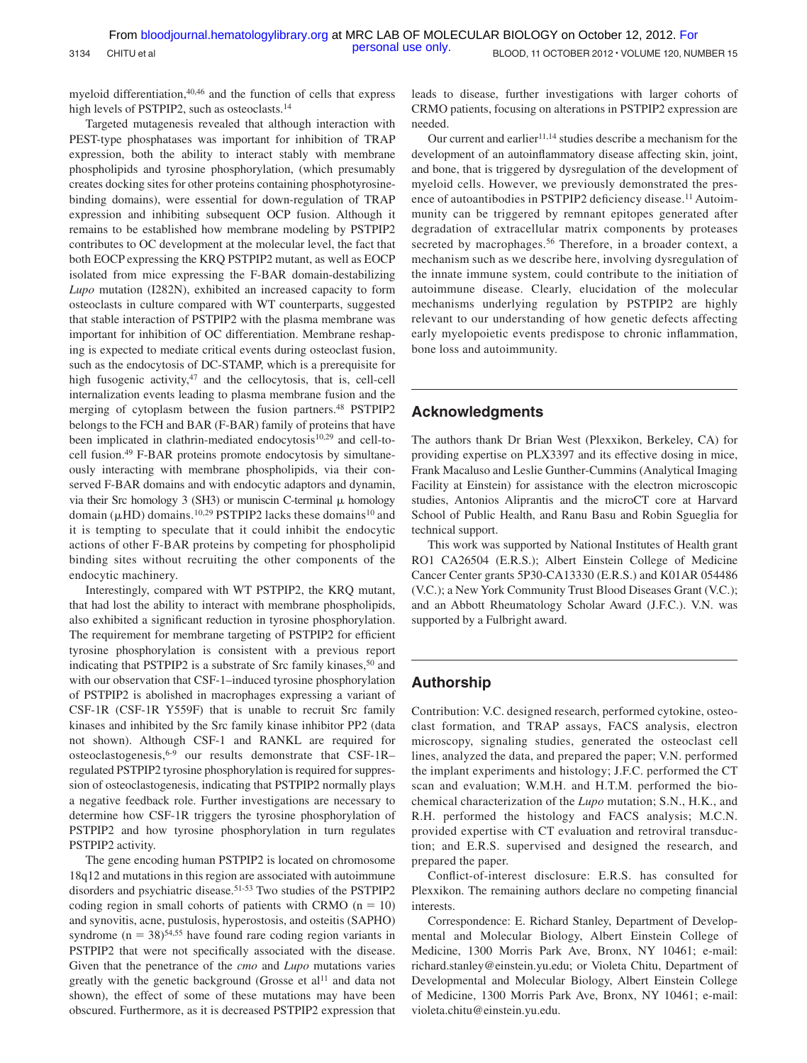myeloid differentiation,<sup>40,46</sup> and the function of cells that express high levels of PSTPIP2, such as osteoclasts.<sup>14</sup>

Targeted mutagenesis revealed that although interaction with PEST-type phosphatases was important for inhibition of TRAP expression, both the ability to interact stably with membrane phospholipids and tyrosine phosphorylation, (which presumably creates docking sites for other proteins containing phosphotyrosinebinding domains), were essential for down-regulation of TRAP expression and inhibiting subsequent OCP fusion. Although it remains to be established how membrane modeling by PSTPIP2 contributes to OC development at the molecular level, the fact that both EOCP expressing the KRQ PSTPIP2 mutant, as well as EOCP isolated from mice expressing the F-BAR domain-destabilizing *Lupo* mutation (I282N), exhibited an increased capacity to form osteoclasts in culture compared with WT counterparts, suggested that stable interaction of PSTPIP2 with the plasma membrane was important for inhibition of OC differentiation. Membrane reshaping is expected to mediate critical events during osteoclast fusion, such as the endocytosis of DC-STAMP, which is a prerequisite for high fusogenic activity, $47$  and the cellocytosis, that is, cell-cell internalization events leading to plasma membrane fusion and the merging of cytoplasm between the fusion partners.<sup>48</sup> PSTPIP2 belongs to the FCH and BAR (F-BAR) family of proteins that have been implicated in clathrin-mediated endocytosis<sup>10,29</sup> and cell-tocell fusion.49 F-BAR proteins promote endocytosis by simultaneously interacting with membrane phospholipids, via their conserved F-BAR domains and with endocytic adaptors and dynamin, via their Src homology 3 (SH3) or muniscin C-terminal  $\mu$  homology domain ( $\mu$ HD) domains.<sup>10,29</sup> PSTPIP2 lacks these domains<sup>10</sup> and it is tempting to speculate that it could inhibit the endocytic actions of other F-BAR proteins by competing for phospholipid binding sites without recruiting the other components of the endocytic machinery.

Interestingly, compared with WT PSTPIP2, the KRQ mutant, that had lost the ability to interact with membrane phospholipids, also exhibited a significant reduction in tyrosine phosphorylation. The requirement for membrane targeting of PSTPIP2 for efficient tyrosine phosphorylation is consistent with a previous report indicating that PSTPIP2 is a substrate of Src family kinases,<sup>50</sup> and with our observation that CSF-1–induced tyrosine phosphorylation of PSTPIP2 is abolished in macrophages expressing a variant of CSF-1R (CSF-1R Y559F) that is unable to recruit Src family kinases and inhibited by the Src family kinase inhibitor PP2 (data not shown). Although CSF-1 and RANKL are required for osteoclastogenesis,6-9 our results demonstrate that CSF-1R– regulated PSTPIP2 tyrosine phosphorylation is required for suppression of osteoclastogenesis, indicating that PSTPIP2 normally plays a negative feedback role. Further investigations are necessary to determine how CSF-1R triggers the tyrosine phosphorylation of PSTPIP2 and how tyrosine phosphorylation in turn regulates PSTPIP2 activity.

The gene encoding human PSTPIP2 is located on chromosome 18q12 and mutations in this region are associated with autoimmune disorders and psychiatric disease.51-53 Two studies of the PSTPIP2 coding region in small cohorts of patients with CRMO  $(n = 10)$ and synovitis, acne, pustulosis, hyperostosis, and osteitis (SAPHO) syndrome ( $n = 38$ )<sup>54,55</sup> have found rare coding region variants in PSTPIP2 that were not specifically associated with the disease. Given that the penetrance of the *cmo* and *Lupo* mutations varies greatly with the genetic background (Grosse et al<sup>11</sup> and data not shown), the effect of some of these mutations may have been obscured. Furthermore, as it is decreased PSTPIP2 expression that leads to disease, further investigations with larger cohorts of CRMO patients, focusing on alterations in PSTPIP2 expression are needed.

Our current and earlier<sup>11,14</sup> studies describe a mechanism for the development of an autoinflammatory disease affecting skin, joint, and bone, that is triggered by dysregulation of the development of myeloid cells. However, we previously demonstrated the presence of autoantibodies in PSTPIP2 deficiency disease.<sup>11</sup> Autoimmunity can be triggered by remnant epitopes generated after degradation of extracellular matrix components by proteases secreted by macrophages.<sup>56</sup> Therefore, in a broader context, a mechanism such as we describe here, involving dysregulation of the innate immune system, could contribute to the initiation of autoimmune disease. Clearly, elucidation of the molecular mechanisms underlying regulation by PSTPIP2 are highly relevant to our understanding of how genetic defects affecting early myelopoietic events predispose to chronic inflammation, bone loss and autoimmunity.

# **Acknowledgments**

The authors thank Dr Brian West (Plexxikon, Berkeley, CA) for providing expertise on PLX3397 and its effective dosing in mice, Frank Macaluso and Leslie Gunther-Cummins (Analytical Imaging Facility at Einstein) for assistance with the electron microscopic studies, Antonios Aliprantis and the microCT core at Harvard School of Public Health, and Ranu Basu and Robin Sgueglia for technical support.

This work was supported by National Institutes of Health grant RO1 CA26504 (E.R.S.); Albert Einstein College of Medicine Cancer Center grants 5P30-CA13330 (E.R.S.) and K01AR 054486 (V.C.); a New York Community Trust Blood Diseases Grant (V.C.); and an Abbott Rheumatology Scholar Award (J.F.C.). V.N. was supported by a Fulbright award.

# **Authorship**

Contribution: V.C. designed research, performed cytokine, osteoclast formation, and TRAP assays, FACS analysis, electron microscopy, signaling studies, generated the osteoclast cell lines, analyzed the data, and prepared the paper; V.N. performed the implant experiments and histology; J.F.C. performed the CT scan and evaluation; W.M.H. and H.T.M. performed the biochemical characterization of the *Lupo* mutation; S.N., H.K., and R.H. performed the histology and FACS analysis; M.C.N. provided expertise with CT evaluation and retroviral transduction; and E.R.S. supervised and designed the research, and prepared the paper.

Conflict-of-interest disclosure: E.R.S. has consulted for Plexxikon. The remaining authors declare no competing financial interests.

Correspondence: E. Richard Stanley, Department of Developmental and Molecular Biology, Albert Einstein College of Medicine, 1300 Morris Park Ave, Bronx, NY 10461; e-mail: richard.stanley@einstein.yu.edu; or Violeta Chitu, Department of Developmental and Molecular Biology, Albert Einstein College of Medicine, 1300 Morris Park Ave, Bronx, NY 10461; e-mail: violeta.chitu@einstein.yu.edu.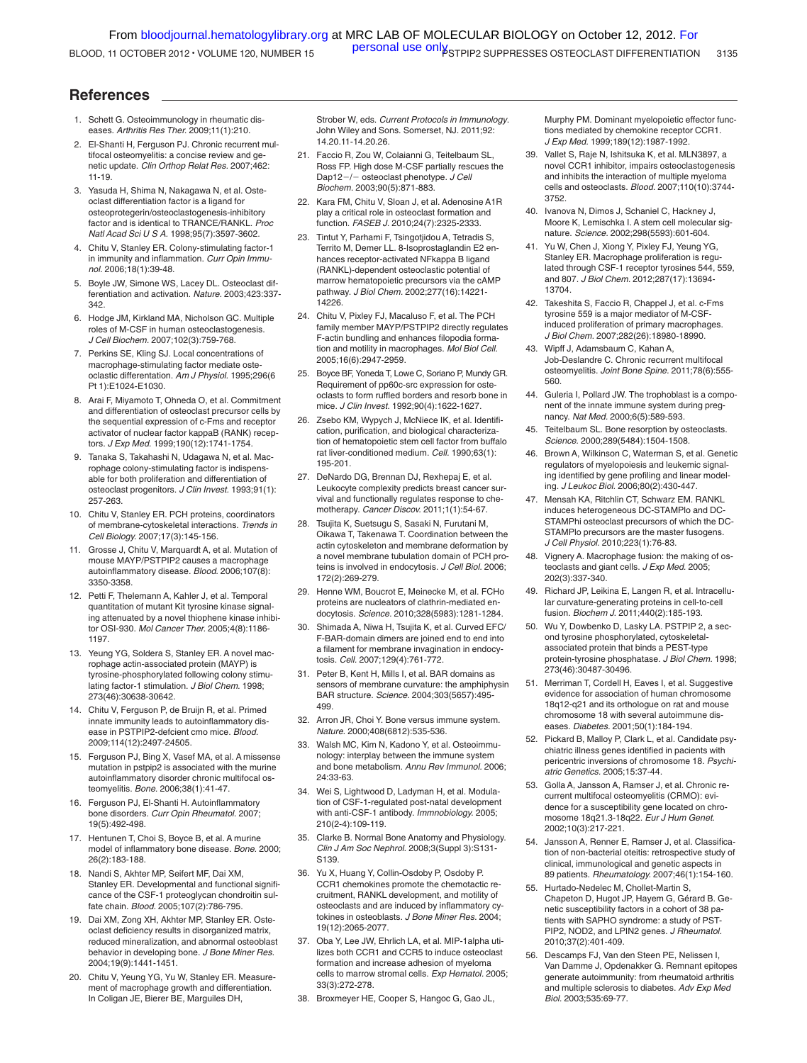# **References**

- 1. Schett G. Osteoimmunology in rheumatic diseases. *Arthritis Res Ther.* 2009;11(1):210.
- 2. El-Shanti H, Ferguson PJ. Chronic recurrent multifocal osteomyelitis: a concise review and genetic update. *Clin Orthop Relat Res.* 2007;462: 11-19.
- 3. Yasuda H, Shima N, Nakagawa N, et al. Osteoclast differentiation factor is a ligand for osteoprotegerin/osteoclastogenesis-inhibitory factor and is identical to TRANCE/RANKL. *Proc Natl Acad Sci U S A.* 1998;95(7):3597-3602.
- 4. Chitu V, Stanley ER. Colony-stimulating factor-1 in immunity and inflammation. *Curr Opin Immunol.* 2006;18(1):39-48.
- 5. Boyle JW, Simone WS, Lacey DL. Osteoclast differentiation and activation. *Nature.* 2003;423:337- 342.
- 6. Hodge JM, Kirkland MA, Nicholson GC. Multiple roles of M-CSF in human osteoclastogenesis. *J Cell Biochem.* 2007;102(3):759-768.
- 7. Perkins SE, Kling SJ. Local concentrations of macrophage-stimulating factor mediate osteoclastic differentation. *Am J Physiol.* 1995;296(6 Pt 1):E1024-E1030.
- 8. Arai F, Miyamoto T, Ohneda O, et al. Commitment and differentiation of osteoclast precursor cells by the sequential expression of c-Fms and receptor activator of nuclear factor kappaB (RANK) receptors. *J Exp Med.* 1999;190(12):1741-1754.
- 9. Tanaka S, Takahashi N, Udagawa N, et al. Macrophage colony-stimulating factor is indispensable for both proliferation and differentiation of osteoclast progenitors. *J Clin Invest.* 1993;91(1): 257-263.
- 10. Chitu V, Stanley ER. PCH proteins, coordinators of membrane-cytoskeletal interactions. *Trends in Cell Biology.* 2007;17(3):145-156.
- 11. Grosse J, Chitu V, Marquardt A, et al. Mutation of mouse MAYP/PSTPIP2 causes a macrophage autoinflammatory disease. *Blood.* 2006;107(8): 3350-3358.
- 12. Petti F, Thelemann A, Kahler J, et al. Temporal quantitation of mutant Kit tyrosine kinase signaling attenuated by a novel thiophene kinase inhibitor OSI-930. *Mol Cancer Ther.* 2005;4(8):1186- 1197.
- 13. Yeung YG, Soldera S, Stanley ER. A novel macrophage actin-associated protein (MAYP) is tyrosine-phosphorylated following colony stimulating factor-1 stimulation. *J Biol Chem.* 1998; 273(46):30638-30642.
- 14. Chitu V, Ferguson P, de Bruijn R, et al. Primed innate immunity leads to autoinflammatory disease in PSTPIP2-defcient cmo mice. *Blood.* 2009;114(12):2497-24505.
- 15. Ferguson PJ, Bing X, Vasef MA, et al. A missense mutation in pstpip2 is associated with the murine autoinflammatory disorder chronic multifocal osteomyelitis. *Bone.* 2006;38(1):41-47.
- 16. Ferguson PJ, El-Shanti H. Autoinflammatory bone disorders. *Curr Opin Rheumatol.* 2007; 19(5):492-498.
- 17. Hentunen T, Choi S, Boyce B, et al. A murine model of inflammatory bone disease. *Bone.* 2000; 26(2):183-188.
- 18. Nandi S, Akhter MP, Seifert MF, Dai XM, Stanley ER. Developmental and functional significance of the CSF-1 proteoglycan chondroitin sulfate chain. *Blood.* 2005;107(2):786-795.
- 19. Dai XM, Zong XH, Akhter MP, Stanley ER. Osteoclast deficiency results in disorganized matrix, reduced mineralization, and abnormal osteoblast behavior in developing bone. *J Bone Miner Res.* 2004;19(9):1441-1451.
- 20. Chitu V, Yeung YG, Yu W, Stanley ER. Measurement of macrophage growth and differentiation. In Coligan JE, Bierer BE, Marguiles DH,

Strober W, eds. *Current Protocols in Immunology*. John Wiley and Sons. Somerset, NJ. 2011;92: 14.20.11-14.20.26.

- 21. Faccio R, Zou W, Colaianni G, Teitelbaum SL, Ross FP. High dose M-CSF partially rescues the Dap12-/- osteoclast phenotype. *J Cell Biochem.* 2003;90(5):871-883.
- 22. Kara FM, Chitu V, Sloan J, et al. Adenosine A1R play a critical role in osteoclast formation and function. *FASEB J.* 2010;24(7):2325-2333.
- 23. Tintut Y, Parhami F, Tsingotjidou A, Tetradis S, Territo M, Demer LL. 8-Isoprostaglandin E2 enhances receptor-activated NFkappa B ligand (RANKL)-dependent osteoclastic potential of marrow hematopoietic precursors via the cAMP pathway. *J Biol Chem.* 2002;277(16):14221- 14226.
- 24. Chitu V, Pixley FJ, Macaluso F, et al. The PCH family member MAYP/PSTPIP2 directly regulates F-actin bundling and enhances filopodia formation and motility in macrophages. *Mol Biol Cell.* 2005;16(6):2947-2959.
- 25. Boyce BF, Yoneda T, Lowe C, Soriano P, Mundy GR. Requirement of pp60c-src expression for osteoclasts to form ruffled borders and resorb bone in mice. *J Clin Invest.* 1992;90(4):1622-1627.
- 26. Zsebo KM, Wypych J, McNiece IK, et al. Identification, purification, and biological characterization of hematopoietic stem cell factor from buffalo rat liver-conditioned medium. *Cell.* 1990;63(1): 195-201.
- 27. DeNardo DG, Brennan DJ, Rexhepaj E, et al. Leukocyte complexity predicts breast cancer survival and functionally regulates response to chemotherapy. *Cancer Discov.* 2011;1(1):54-67.
- 28. Tsujita K, Suetsugu S, Sasaki N, Furutani M, Oikawa T, Takenawa T. Coordination between the actin cytoskeleton and membrane deformation by a novel membrane tubulation domain of PCH proteins is involved in endocytosis. *J Cell Biol.* 2006; 172(2):269-279.
- 29. Henne WM, Boucrot E, Meinecke M, et al. FCHo proteins are nucleators of clathrin-mediated endocytosis. *Science.* 2010;328(5983):1281-1284.
- 30. Shimada A, Niwa H, Tsujita K, et al. Curved EFC/ F-BAR-domain dimers are joined end to end into a filament for membrane invagination in endocytosis. *Cell.* 2007;129(4):761-772.
- 31. Peter B, Kent H, Mills I, et al. BAR domains as sensors of membrane curvature: the amphiphysin BAR structure. *Science.* 2004;303(5657):495- 499.
- 32. Arron JR, Choi Y. Bone versus immune system. *Nature.* 2000;408(6812):535-536.
- 33. Walsh MC, Kim N, Kadono Y, et al. Osteoimmunology: interplay between the immune system and bone metabolism. *Annu Rev Immunol.* 2006; 24:33-63.
- 34. Wei S, Lightwood D, Ladyman H, et al. Modulation of CSF-1-regulated post-natal development with anti-CSF-1 antibody. *Immnobiology.* 2005; 210(2-4):109-119.
- 35. Clarke B. Normal Bone Anatomy and Physiology. *Clin J Am Soc Nephrol.* 2008;3(Suppl 3):S131- S139.
- 36. Yu X, Huang Y, Collin-Osdoby P, Osdoby P. CCR1 chemokines promote the chemotactic recruitment, RANKL development, and motility of osteoclasts and are induced by inflammatory cytokines in osteoblasts. *J Bone Miner Res.* 2004; 19(12):2065-2077.
- 37. Oba Y, Lee JW, Ehrlich LA, et al. MIP-1alpha utilizes both CCR1 and CCR5 to induce osteoclast formation and increase adhesion of myeloma cells to marrow stromal cells. *Exp Hematol.* 2005; 33(3):272-278.
- 38. Broxmeyer HE, Cooper S, Hangoc G, Gao JL,

Murphy PM. Dominant myelopoietic effector functions mediated by chemokine receptor CCR1. *J Exp Med.* 1999;189(12):1987-1992.

- 39. Vallet S, Raje N, Ishitsuka K, et al. MLN3897, a novel CCR1 inhibitor, impairs osteoclastogenesis and inhibits the interaction of multiple myeloma cells and osteoclasts. *Blood.* 2007;110(10):3744- 3752.
- 40. Ivanova N, Dimos J, Schaniel C, Hackney J, Moore K, Lemischka I. A stem cell molecular signature. *Science.* 2002;298(5593):601-604.
- 41. Yu W, Chen J, Xiong Y, Pixley FJ, Yeung YG, Stanley ER. Macrophage proliferation is regulated through CSF-1 receptor tyrosines 544, 559, and 807. *J Biol Chem.* 2012;287(17):13694- 13704.
- 42. Takeshita S, Faccio R, Chappel J, et al. c-Fms tyrosine 559 is a major mediator of M-CSFinduced proliferation of primary macrophages. *J Biol Chem.* 2007;282(26):18980-18990.
- 43. Wipff J, Adamsbaum C, Kahan A, Job-Deslandre C. Chronic recurrent multifocal osteomyelitis. *Joint Bone Spine.* 2011;78(6):555- 560.
- 44. Guleria I, Pollard JW. The trophoblast is a component of the innate immune system during pregnancy. *Nat Med.* 2000;6(5):589-593.
- 45. Teitelbaum SL. Bone resorption by osteoclasts. *Science.* 2000;289(5484):1504-1508.
- 46. Brown A, Wilkinson C, Waterman S, et al. Genetic regulators of myelopoiesis and leukemic signaling identified by gene profiling and linear modeling. *J Leukoc Biol.* 2006;80(2):430-447.
- 47. Mensah KA, Ritchlin CT, Schwarz EM. RANKL induces heterogeneous DC-STAMPlo and DC-STAMPhi osteoclast precursors of which the DC-STAMPlo precursors are the master fusogens. *J Cell Physiol.* 2010;223(1):76-83.
- 48. Vignery A. Macrophage fusion: the making of osteoclasts and giant cells. *J Exp Med.* 2005; 202(3):337-340.
- 49. Richard JP, Leikina E, Langen R, et al. Intracellular curvature-generating proteins in cell-to-cell fusion. *Biochem J.* 2011;440(2):185-193.
- 50. Wu Y, Dowbenko D, Lasky LA. PSTPIP 2, a second tyrosine phosphorylated, cytoskeletalassociated protein that binds a PEST-type protein-tyrosine phosphatase. *J Biol Chem.* 1998; 273(46):30487-30496.
- 51. Merriman T, Cordell H, Eaves I, et al. Suggestive evidence for association of human chromosome 18q12-q21 and its orthologue on rat and mouse chromosome 18 with several autoimmune diseases. *Diabetes.* 2001;50(1):184-194.
- 52. Pickard B, Malloy P, Clark L, et al. Candidate psychiatric illness genes identified in pacients with pericentric inversions of chromosome 18. *Psychiatric Genetics.* 2005;15:37-44.
- 53. Golla A, Jansson A, Ramser J, et al. Chronic recurrent multifocal osteomyelitis (CRMO): evidence for a susceptibility gene located on chromosome 18q21.3-18q22. *Eur J Hum Genet.* 2002;10(3):217-221.
- 54. Jansson A, Renner E, Ramser J, et al. Classification of non-bacterial oteitis: retrospective study of clinical, immunological and genetic aspects in 89 patients. *Rheumatology.* 2007;46(1):154-160.
- Hurtado-Nedelec M, Chollet-Martin S, Chapeton D, Hugot JP, Hayem G, Gérard B. Genetic susceptibility factors in a cohort of 38 patients with SAPHO syndrome: a study of PST-PIP2, NOD2, and LPIN2 genes. *J Rheumatol.* 2010;37(2):401-409.
- 56. Descamps FJ, Van den Steen PE, Nelissen I, Van Damme J, Opdenakker G. Remnant epitopes generate autoimmunity: from rheumatoid arthritis and multiple sclerosis to diabetes. *Adv Exp Med Biol.* 2003;535:69-77.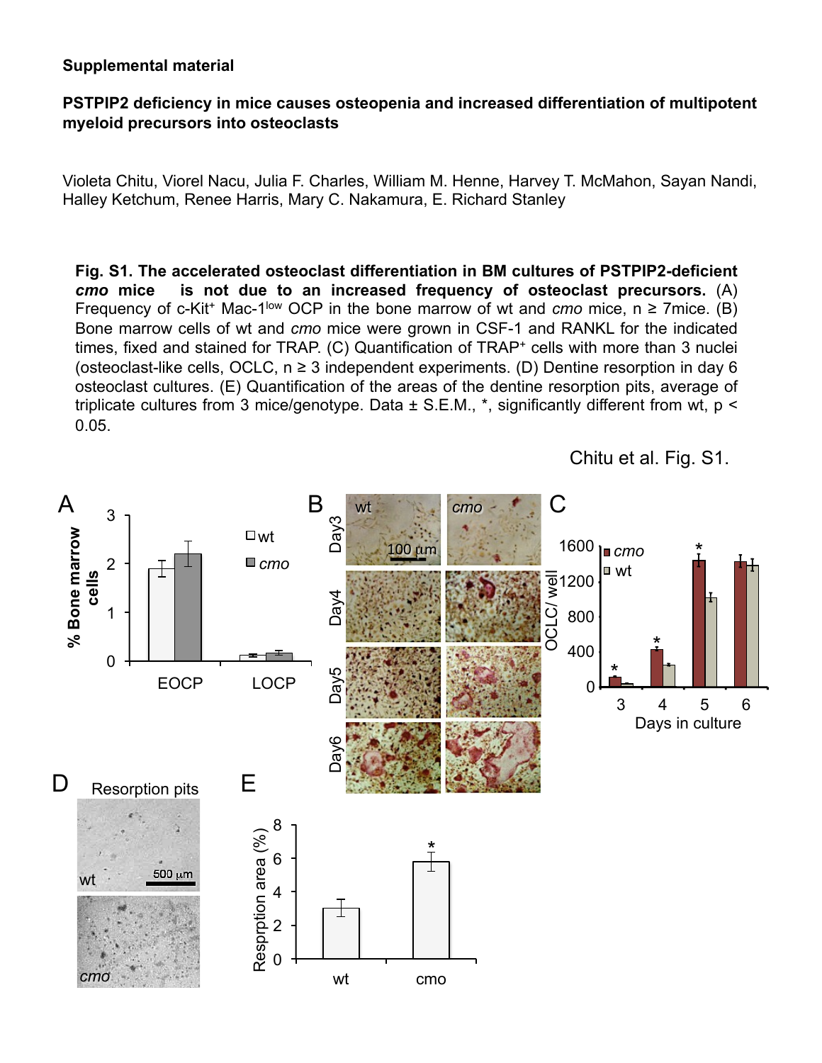# **Supplemental material**

# **PSTPIP2 deficiency in mice causes osteopenia and increased differentiation of multipotent myeloid precursors into osteoclasts**

Violeta Chitu, Viorel Nacu, Julia F. Charles, William M. Henne, Harvey T. McMahon, Sayan Nandi, Halley Ketchum, Renee Harris, Mary C. Nakamura, E. Richard Stanley

**Fig. S1. The accelerated osteoclast differentiation in BM cultures of PSTPIP2-deficient**  *cmo* **mice is not due to an increased frequency of osteoclast precursors.** (A) Frequency of c-Kit<sup>+</sup> Mac-1<sup>low</sup> OCP in the bone marrow of wt and *cmo* mice,  $n \ge 7$  mice. (B) Bone marrow cells of wt and *cmo* mice were grown in CSF-1 and RANKL for the indicated times, fixed and stained for TRAP. (C) Quantification of TRAP<sup>+</sup> cells with more than 3 nuclei (osteoclast-like cells, OCLC,  $n \geq 3$  independent experiments. (D) Dentine resorption in day 6 osteoclast cultures. (E) Quantification of the areas of the dentine resorption pits, average of triplicate cultures from 3 mice/genotype. Data  $\pm$  S.E.M., \*, significantly different from wt, p < 0.05.



Chitu et al. Fig. S1.